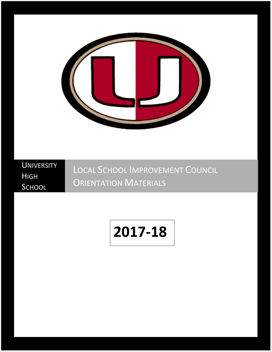

**UNIVERSITY** HIGH **SCHOOL** 

LOCAL SCHOOL IMPROVEMENT COUNCIL **ORIENTATION MATERIALS** 

# **2017-18**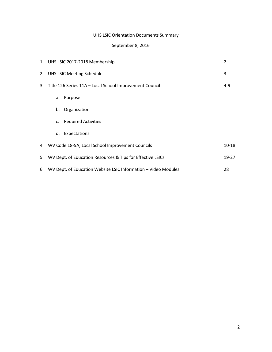# UHS LSIC Orientation Documents Summary

# September 8, 2016

|    | 1. UHS LSIC 2017-2018 Membership                               | $\overline{2}$ |
|----|----------------------------------------------------------------|----------------|
|    | 2. UHS LSIC Meeting Schedule                                   | 3              |
|    | 3. Title 126 Series 11A - Local School Improvement Council     | $4 - 9$        |
|    | Purpose<br>а.                                                  |                |
|    | Organization<br>b.                                             |                |
|    | c. Required Activities                                         |                |
|    | d. Expectations                                                |                |
|    | 4. WV Code 18-5A, Local School Improvement Councils            | $10 - 18$      |
|    | 5. WV Dept. of Education Resources & Tips for Effective LSICs  | 19-27          |
| 6. | WV Dept. of Education Website LSIC Information - Video Modules | 28             |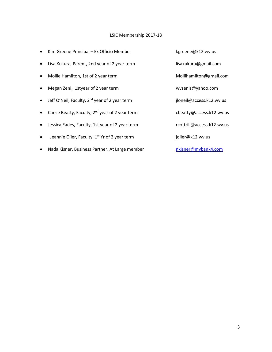# LSIC Membership 2017-18

• Kim Greene Principal – Ex Officio Member kgreene@k12.wv.us Lisa Kukura, Parent, 2nd year of 2 year term lisakukura@gmail.com • Mollie Hamilton, 1st of 2 year term Mollihamilton@gmail.com • Megan Zeni, 1styear of 2 year term wwzenis@yahoo.com • Jeff O'Neil, Faculty, 2<sup>nd</sup> year of 2 year term jloneil@access.k12.wv.us • Carrie Beatty, Faculty, 2<sup>nd</sup> year of 2 year term cbeatty@access.k12.wv.us • Jessica Eades, Faculty, 1st year of 2 year term rcottrill@access.k12.wv.us • Jeannie Oiler, Faculty, 1<sup>st</sup> Yr of 2 year term joiler@k12.wv.us • Nada Kisner, Business Partner, At Large member number has natisner@mybank4.com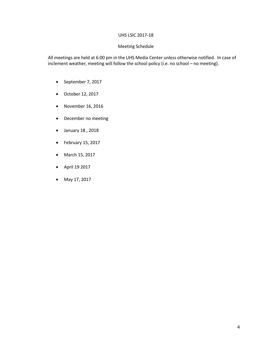### UHS LSIC 2017-18

### Meeting Schedule

All meetings are held at 6:00 pm in the UHS Media Center unless otherwise notified. In case of inclement weather, meeting will follow the school policy (i.e. no school – no meeting).

- September 7, 2017
- October 12, 2017
- November 16, 2016
- December no meeting
- January 18 , 2018
- February 15, 2017
- March 15, 2017
- April 19 2017
- May 17, 2017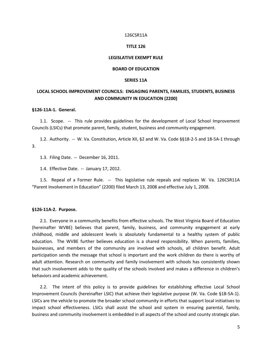### 126CSR11A

### **TITLE 126**

### **LEGISLATIVE EXEMPT RULE**

### **BOARD OF EDUCATION**

### **SERIES 11A**

# **LOCAL SCHOOL IMPROVEMENT COUNCILS: ENGAGING PARENTS, FAMILIES, STUDENTS, BUSINESS AND COMMUNITY IN EDUCATION (2200)**

### **§126-11A-1. General.**

1.1. Scope. -- This rule provides guidelines for the development of Local School Improvement Councils (LSICs) that promote parent, family, student, business and community engagement.

1.2. Authority. -- W. Va. Constitution, Article XII, §2 and W. Va. Code §§18-2-5 and 18-5A-1 through 3.

1.3. Filing Date. -- December 16, 2011.

1.4. Effective Date. -- January 17, 2012.

1.5. Repeal of a Former Rule. -- This legislative rule repeals and replaces W. Va. 126CSR11A "Parent Involvement in Education" (2200) filed March 13, 2008 and effective July 1, 2008.

### **§126-11A-2. Purpose.**

2.1. Everyone in a community benefits from effective schools. The West Virginia Board of Education (hereinafter WVBE) believes that parent, family, business, and community engagement at early childhood, middle and adolescent levels is absolutely fundamental to a healthy system of public education. The WVBE further believes education is a shared responsibility. When parents, families, businesses, and members of the community are involved with schools, all children benefit. Adult participation sends the message that school is important and the work children do there is worthy of adult attention. Research on community and family involvement with schools has consistently shown that such involvement adds to the quality of the schools involved and makes a difference in children's behaviors and academic achievement.

2.2. The intent of this policy is to provide guidelines for establishing effective Local School Improvement Councils (hereinafter LSIC) that achieve their legislative purpose (W. Va. Code §18-5A-1). LSICs are the vehicle to promote the broader school community in efforts that support local initiatives to impact school effectiveness. LSICs shall assist the school and system in ensuring parental, family, business and community involvement is embedded in all aspects of the school and county strategic plan.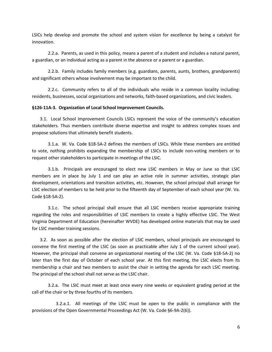LSICs help develop and promote the school and system vision for excellence by being a catalyst for innovation.

2.2.a. Parents, as used in this policy, means a parent of a student and includes a natural parent, a guardian, or an individual acting as a parent in the absence or a parent or a guardian.

2.2.b. Family includes family members (e.g. guardians, parents, aunts, brothers, grandparents) and significant others whose involvement may be important to the child.

2.2.c. Community refers to all of the individuals who reside in a common locality including: residents, businesses, social organizations and networks, faith-based organizations, and civic leaders.

### **§126-11A-3. Organization of Local School Improvement Councils.**

3.1. Local School Improvement Councils LSICs represent the voice of the community's education stakeholders. Thus members contribute diverse expertise and insight to address complex issues and propose solutions that ultimately benefit students.

3.1.a. W. Va. Code §18-5A-2 defines the members of LSICs. While these members are entitled to vote, nothing prohibits expanding the membership of LSICs to include non-voting members or to request other stakeholders to participate in meetings of the LSIC.

3.1.b. Principals are encouraged to elect new LSIC members in May or June so that LSIC members are in place by July 1 and can play an active role in summer activities, strategic plan development, orientations and transition activities, etc. However, the school principal shall arrange for LSIC election of members to be held prior to the fifteenth day of September of each school year (W. Va. Code §18-5A-2).

3.1.c. The school principal shall ensure that all LSIC members receive appropriate training regarding the roles and responsibilities of LSIC members to create a highly effective LSIC. The West Virginia Department of Education (hereinafter WVDE) has developed online materials that may be used for LSIC member training sessions.

3.2. As soon as possible after the election of LSIC members, school principals are encouraged to convene the first meeting of the LSIC (as soon as practicable after July 1 of the current school year). However, the principal shall convene an organizational meeting of the LSIC (W. Va. Code §18-5A-2) no later than the first day of October of each school year. At this first meeting, the LSIC elects from its membership a chair and two members to assist the chair in setting the agenda for each LSIC meeting. The principal of the school shall not serve as the LSIC chair.

3.2.a. The LSIC must meet at least once every nine weeks or equivalent grading period at the call of the chair or by three fourths of its members.

3.2.a.1. All meetings of the LSIC must be open to the public in compliance with the provisions of the Open Governmental Proceedings Act (W. Va. Code §6-9A-2(6)).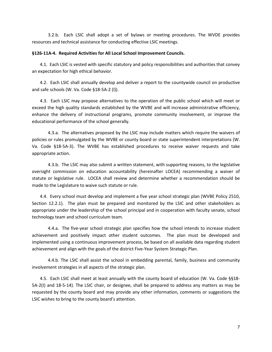3.2.b. Each LSIC shall adopt a set of bylaws or meeting procedures. The WVDE provides resources and technical assistance for conducting effective LSIC meetings.

### **§126-11A-4. Required Activities for All Local School Improvement Councils.**

4.1. Each LSIC is vested with specific statutory and policy responsibilities and authorities that convey an expectation for high ethical behavior.

4.2. Each LSIC shall annually develop and deliver a report to the countywide council on productive and safe schools (W. Va. Code §18-5A-2 (l)).

4.3. Each LSIC may propose alternatives to the operation of the public school which will meet or exceed the high quality standards established by the WVBE and will increase administrative efficiency, enhance the delivery of instructional programs, promote community involvement, or improve the educational performance of the school generally.

4.3.a. The alternatives proposed by the LSIC may include matters which require the waivers of policies or rules promulgated by the WVBE or county board or state superintendent interpretations (W. Va. Code §18-5A-3). The WVBE has established procedures to receive waiver requests and take appropriate action.

4.3.b. The LSIC may also submit a written statement, with supporting reasons, to the legislative oversight commission on education accountability (hereinafter LOCEA) recommending a waiver of statute or legislative rule. LOCEA shall review and determine whether a recommendation should be made to the Legislature to waive such statute or rule.

4.4. Every school must develop and implement a five year school strategic plan (WVBE Policy 2510, Section 12.2.1). The plan must be prepared and monitored by the LSIC and other stakeholders as appropriate under the leadership of the school principal and in cooperation with faculty senate, school technology team and school curriculum team.

4.4.a. The five-year school strategic plan specifies how the school intends to increase student achievement and positively impact other student outcomes. The plan must be developed and implemented using a continuous improvement process, be based on all available data regarding student achievement and align with the goals of the district Five-Year System Strategic Plan.

4.4.b. The LSIC shall assist the school in embedding parental, family, business and community involvement strategies in all aspects of the strategic plan.

4.5. Each LSIC shall meet at least annually with the county board of education (W. Va. Code §§18- 5A-2(I) and 18-5-14). The LSIC chair, or designee, shall be prepared to address any matters as may be requested by the county board and may provide any other information, comments or suggestions the LSIC wishes to bring to the county board's attention.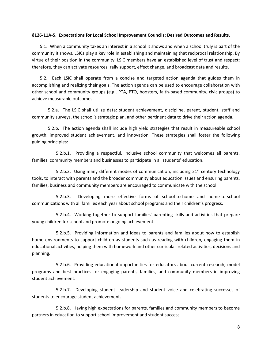### **§126-11A-5. Expectations for Local School Improvement Councils: Desired Outcomes and Results.**

5.1. When a community takes an interest in a school it shows and when a school truly is part of the community it shows. LSICs play a key role in establishing and maintaining that reciprocal relationship. By virtue of their position in the community, LSIC members have an established level of trust and respect; therefore, they can activate resources, rally support, effect change, and broadcast data and results.

5.2. Each LSIC shall operate from a concise and targeted action agenda that guides them in accomplishing and realizing their goals. The action agenda can be used to encourage collaboration with other school and community groups (e.g., PTA, PTO, boosters, faith-based community, civic groups) to achieve measurable outcomes.

5.2.a. The LSIC shall utilize data: student achievement, discipline, parent, student, staff and community surveys, the school's strategic plan, and other pertinent data to drive their action agenda.

5.2.b. The action agenda shall include high yield strategies that result in measureable school growth, improved student achievement, and innovation. These strategies shall foster the following guiding principles:

5.2.b.1. Providing a respectful, inclusive school community that welcomes all parents, families, community members and businesses to participate in all students' education.

5.2.b.2. Using many different modes of communication, including  $21^{st}$  century technology tools, to interact with parents and the broader community about education issues and ensuring parents, families, business and community members are encouraged to communicate with the school.

5.2.b.3. Developing more effective forms of school-to-home and home-to-school communications with all families each year about school programs and their children's progress.

5.2.b.4. Working together to support families' parenting skills and activities that prepare young children for school and promote ongoing achievement.

5.2.b.5. Providing information and ideas to parents and families about how to establish home environments to support children as students such as reading with children, engaging them in educational activities, helping them with homework and other curricular-related activities, decisions and planning.

5.2.b.6. Providing educational opportunities for educators about current research, model programs and best practices for engaging parents, families, and community members in improving student achievement.

5.2.b.7. Developing student leadership and student voice and celebrating successes of students to encourage student achievement.

5.2.b.8. Having high expectations for parents, families and community members to become partners in education to support school improvement and student success.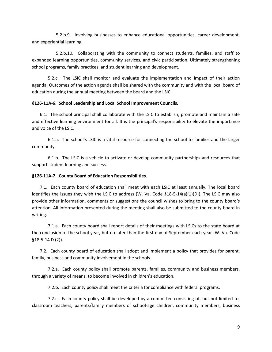5.2.b.9. Involving businesses to enhance educational opportunities, career development, and experiential learning.

5.2.b.10. Collaborating with the community to connect students, families, and staff to expanded learning opportunities, community services, and civic participation. Ultimately strengthening school programs, family practices, and student learning and development.

5.2.c. The LSIC shall monitor and evaluate the implementation and impact of their action agenda. Outcomes of the action agenda shall be shared with the community and with the local board of education during the annual meeting between the board and the LSIC.

### **§126-11A-6. School Leadership and Local School Improvement Councils.**

6.1. The school principal shall collaborate with the LSIC to establish, promote and maintain a safe and effective learning environment for all. It is the principal's responsibility to elevate the importance and voice of the LSIC.

6.1.a. The school's LSIC is a vital resource for connecting the school to families and the larger community.

6.1.b. The LSIC is a vehicle to activate or develop community partnerships and resources that support student learning and success.

### **§126-11A-7. County Board of Education Responsibilities.**

7.1. Each county board of education shall meet with each LSIC at least annually. The local board identifies the issues they wish the LSIC to address (W. Va. Code §18-5-14(a)(1)(D)). The LSIC may also provide other information, comments or suggestions the council wishes to bring to the county board's attention. All information presented during the meeting shall also be submitted to the county board in writing.

7.1.a. Each county board shall report details of their meetings with LSICs to the state board at the conclusion of the school year, but no later than the first day of September each year (W. Va. Code §18-5-14 D (2)).

7.2. Each county board of education shall adopt and implement a policy that provides for parent, family, business and community involvement in the schools.

7.2.a. Each county policy shall promote parents, families, community and business members, through a variety of means, to become involved in children's education.

7.2.b. Each county policy shall meet the criteria for compliance with federal programs.

7.2.c. Each county policy shall be developed by a committee consisting of, but not limited to, classroom teachers, parents/family members of school-age children, community members, business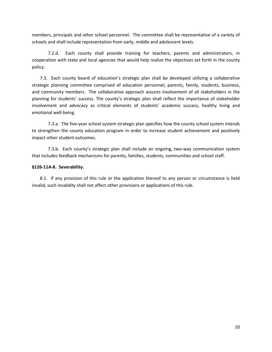members, principals and other school personnel. The committee shall be representative of a variety of schools and shall include representation from early, middle and adolescent levels.

7.2.d. Each county shall provide training for teachers, parents and administrators, in cooperation with state and local agencies that would help realize the objectives set forth in the county policy.

7.3. Each county board of education's strategic plan shall be developed utilizing a collaborative strategic planning committee comprised of education personnel, parents, family, students, business, and community members. The collaborative approach assures involvement of all stakeholders in the planning for students' success. The county's strategic plan shall reflect the importance of stakeholder involvement and advocacy as critical elements of students' academic success, healthy living and emotional well-being.

7.3.a. The five-year school system strategic plan specifies how the county school system intends to strengthen the county education program in order to increase student achievement and positively impact other student outcomes.

7.3.b. Each county's strategic plan shall include an ongoing, two-way communication system that includes feedback mechanisms for parents, families, students, communities and school staff.

# **§126-11A-8. Severability.**

8.1. If any provision of this rule or the application thereof to any person or circumstance is held invalid, such invalidity shall not affect other provisions or applications of this rule.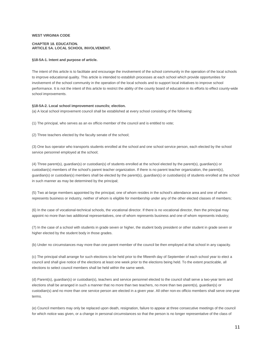### **WEST VIRGINIA CODE**

### **CHAPTER 18. EDUCATION. ARTICLE 5A. LOCAL SCHOOL INVOLVEMENT.**

#### **§18-5A-1. Intent and purpose of article.**

The intent of this article is to facilitate and encourage the involvement of the school community in the operation of the local schools to improve educational quality. This article is intended to establish processes at each school which provide opportunities for involvement of the school community in the operation of the local schools and to support local initiatives to improve school performance. It is not the intent of this article to restrict the ability of the county board of education in its efforts to effect county-wide school improvements.

#### **§18-5A-2. Local school improvement councils; election.**

(a) A local school improvement council shall be established at every school consisting of the following:

(1) The principal, who serves as an ex officio member of the council and is entitled to vote;

(2) Three teachers elected by the faculty senate of the school;

(3) One bus operator who transports students enrolled at the school and one school service person, each elected by the school service personnel employed at the school;

(4) Three parent(s), guardian(s) or custodian(s) of students enrolled at the school elected by the parent(s), guardian(s) or custodian(s) members of the school's parent teacher organization. If there is no parent teacher organization, the parent(s), guardian(s) or custodian(s) members shall be elected by the parent(s), guardian(s) or custodian(s) of students enrolled at the school in such manner as may be determined by the principal;

(5) Two at-large members appointed by the principal, one of whom resides in the school's attendance area and one of whom represents business or industry, neither of whom is eligible for membership under any of the other elected classes of members;

(6) In the case of vocational-technical schools, the vocational director. If there is no vocational director, then the principal may appoint no more than two additional representatives, one of whom represents business and one of whom represents industry;

(7) In the case of a school with students in grade seven or higher, the student body president or other student in grade seven or higher elected by the student body in those grades.

(b) Under no circumstances may more than one parent member of the council be then employed at that school in any capacity.

(c) The principal shall arrange for such elections to be held prior to the fifteenth day of September of each school year to elect a council and shall give notice of the elections at least one week prior to the elections being held. To the extent practicable, all elections to select council members shall be held within the same week.

(d) Parent(s), guardian(s) or custodian(s), teachers and service personnel elected to the council shall serve a two-year term and elections shall be arranged in such a manner that no more than two teachers, no more than two parent(s), guardian(s) or custodian(s) and no more than one service person are elected in a given year. All other non-ex officio members shall serve one-year terms.

(e) Council members may only be replaced upon death, resignation, failure to appear at three consecutive meetings of the council for which notice was given, or a change in personal circumstances so that the person is no longer representative of the class of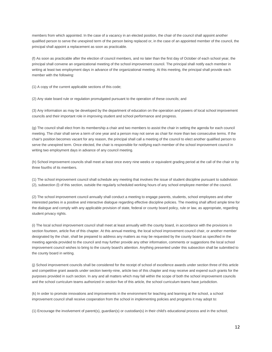members from which appointed. In the case of a vacancy in an elected position, the chair of the council shall appoint another qualified person to serve the unexpired term of the person being replaced or, in the case of an appointed member of the council, the principal shall appoint a replacement as soon as practicable.

(f) As soon as practicable after the election of council members, and no later than the first day of October of each school year, the principal shall convene an organizational meeting of the school improvement council. The principal shall notify each member in writing at least two employment days in advance of the organizational meeting. At this meeting, the principal shall provide each member with the following:

(1) A copy of the current applicable sections of this code;

(2) Any state board rule or regulation promulgated pursuant to the operation of these councils; and

(3) Any information as may be developed by the department of education on the operation and powers of local school improvement councils and their important role in improving student and school performance and progress.

(g) The council shall elect from its membership a chair and two members to assist the chair in setting the agenda for each council meeting. The chair shall serve a term of one year and a person may not serve as chair for more than two consecutive terms. If the chair's position becomes vacant for any reason, the principal shall call a meeting of the council to elect another qualified person to serve the unexpired term. Once elected, the chair is responsible for notifying each member of the school improvement council in writing two employment days in advance of any council meeting.

(h) School improvement councils shall meet at least once every nine weeks or equivalent grading period at the call of the chair or by three fourths of its members.

(1) The school improvement council shall schedule any meeting that involves the issue of student discipline pursuant to subdivision (2), subsection (l) of this section, outside the regularly scheduled working hours of any school employee member of the council.

(2) The school improvement council annually shall conduct a meeting to engage parents, students, school employees and other interested parties in a positive and interactive dialogue regarding effective discipline policies. The meeting shall afford ample time for the dialogue and comply with any applicable provision of state, federal or county board policy, rule or law, as appropriate, regarding student privacy rights.

(i) The local school improvement council shall meet at least annually with the county board, in accordance with the provisions in section fourteen, article five of this chapter. At this annual meeting, the local school improvement council chair, or another member designated by the chair, shall be prepared to address any matters as may be requested by the county board as specified in the meeting agenda provided to the council and may further provide any other information, comments or suggestions the local school improvement council wishes to bring to the county board's attention. Anything presented under this subsection shall be submitted to the county board in writing.

(j) School improvement councils shall be considered for the receipt of school of excellence awards under section three of this article and competitive grant awards under section twenty-nine, article two of this chapter and may receive and expend such grants for the purposes provided in such section. In any and all matters which may fall within the scope of both the school improvement councils and the school curriculum teams authorized in section five of this article, the school curriculum teams have jurisdiction.

(k) In order to promote innovations and improvements in the environment for teaching and learning at the school, a school improvement council shall receive cooperation from the school in implementing policies and programs it may adopt to:

(1) Encourage the involvement of parent(s), guardian(s) or custodian(s) in their child's educational process and in the school;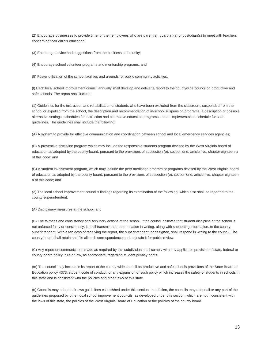(2) Encourage businesses to provide time for their employees who are parent(s), guardian(s) or custodian(s) to meet with teachers concerning their child's education;

(3) Encourage advice and suggestions from the business community;

(4) Encourage school volunteer programs and mentorship programs; and

(5) Foster utilization of the school facilities and grounds for public community activities.

(l) Each local school improvement council annually shall develop and deliver a report to the countywide council on productive and safe schools. The report shall include:

(1) Guidelines for the instruction and rehabilitation of students who have been excluded from the classroom, suspended from the school or expelled from the school, the description and recommendation of in-school suspension programs, a description of possible alternative settings, schedules for instruction and alternative education programs and an implementation schedule for such guidelines. The guidelines shall include the following:

(A) A system to provide for effective communication and coordination between school and local emergency services agencies;

(B) A preventive discipline program which may include the responsible students program devised by the West Virginia board of education as adopted by the county board, pursuant to the provisions of subsection (e), section one, article five, chapter eighteen-a of this code; and

(C) A student involvement program, which may include the peer mediation program or programs devised by the West Virginia board of education as adopted by the county board, pursuant to the provisions of subsection (e), section one, article five, chapter eighteena of this code; and

(2) The local school improvement council's findings regarding its examination of the following, which also shall be reported to the county superintendent:

(A) Disciplinary measures at the school; and

(B) The fairness and consistency of disciplinary actions at the school. If the council believes that student discipline at the school is not enforced fairly or consistently, it shall transmit that determination in writing, along with supporting information, to the county superintendent. Within ten days of receiving the report, the superintendent, or designee, shall respond in writing to the council. The county board shall retain and file all such correspondence and maintain it for public review.

(C) Any report or communication made as required by this subdivision shall comply with any applicable provision of state, federal or county board policy, rule or law, as appropriate, regarding student privacy rights.

(m) The council may include in its report to the county-wide council on productive and safe schools provisions of the State Board of Education policy 4373, student code of conduct, or any expansion of such policy which increases the safety of students in schools in this state and is consistent with the policies and other laws of this state.

(n) Councils may adopt their own guidelines established under this section. In addition, the councils may adopt all or any part of the guidelines proposed by other local school improvement councils, as developed under this section, which are not inconsistent with the laws of this state, the policies of the West Virginia Board of Education or the policies of the county board.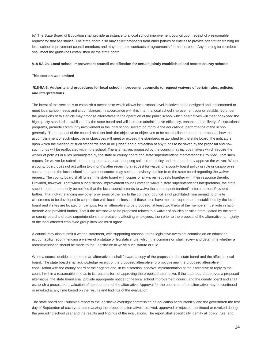(o) The State Board of Education shall provide assistance to a local school improvement council upon receipt of a reasonable request for that assistance. The state board also may solicit proposals from other parties or entities to provide orientation training for local school improvement council members and may enter into contracts or agreements for that purpose. Any training for members shall meet the guidelines established by the state board.

#### **§18-5A-2a. Local school improvement council modification for certain jointly established and across county schools**

### **This section was omitted**

### **§18-5A-3. Authority and procedures for local school improvement councils to request waivers of certain rules, policies and interpretations.**

The intent of this section is to establish a mechanism which allows local school level initiatives to be designed and implemented to meet local school needs and circumstances. In accordance with this intent, a local school improvement council established under the provisions of this article may propose alternatives to the operation of the public school which alternatives will meet or exceed the high quality standards established by the state board and will increase administrative efficiency, enhance the delivery of instructional programs, promote community involvement in the local school system or improve the educational performance of the school generally. The proposal of the council shall set forth the objective or objectives to be accomplished under the proposal, how the accomplishment of such objective or objectives will meet or exceed the standards established by the state board, the indicators upon which the meeting of such standards should be judged and a projection of any funds to be saved by the proposal and how such funds will be reallocated within the school. The alternatives proposed by the council may include matters which require the waiver of policies or rules promulgated by the state or county board and state superintendent interpretations: Provided, That such request for waiver be submitted to the appropriate board adopting said rule or policy and that board may approve the waiver. When a county board does not act within two months after receiving a request for waiver of a county board policy or rule or disapproves such a request, the local school improvement council may seek an advisory opinion from the state board regarding the waiver request. The county board shall furnish the state board with copies of all waiver requests together with their response thereto: Provided, however, That when a local school improvement council votes to waive a state superintendent's interpretation, the state superintendent need only be notified that the local council intends to waive the state superintendent's interpretation: Provided further, That notwithstanding any other provisions of the law to the contrary, council is not prohibited from permitting off-site classrooms to be developed in conjunction with local businesses if those sites have met the requirements established by the local board and if sites are located off campus. For an alternative to be proposed, at least two thirds of the members must vote in favor thereof: And provided further, That if the alternative to be proposed relates to a waiver of policies or rules promulgated by the state or county board and state superintendent interpretations affecting employees, then prior to the proposal of the alternative, a majority of the local affected employee group involved must agree.

A council may also submit a written statement, with supporting reasons, to the legislative oversight commission on education accountability recommending a waiver of a statute or legislative rule, which the commission shall review and determine whether a recommendation should be made to the Legislature to waive such statute or rule.

When a council decides to propose an alternative, it shall forward a copy of the proposal to the state board and the affected local board. The state board shall acknowledge receipt of the proposed alternative, promptly review the proposed alternative in consultation with the county board or their agents and, in its discretion, approve implementation of the alternative or reply to the council within a reasonable time as to its reasons for not approving the proposed alternative. If the state board approves a proposed alternative, the state board shall provide appropriate notice to the local school improvement council and the county board and shall establish a process for evaluation of the operation of the alternative. Approval for the operation of the alternative may be continued or revoked at any time based on the results and findings of the evaluation.

The state board shall submit a report to the legislative oversight commission on education accountability and the governoron the first day of September of each year summarizing the proposed alternatives received, approved or rejected, continued or revoked during the preceding school year and the results and findings of the evaluations. The report shall specifically identify all policy, rule, and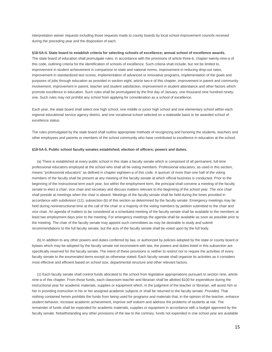interpretation waiver requests including those requests made to county boards by local school improvement councils received during the preceding year and the disposition of each.

#### **§18-5A-4. State board to establish criteria for selecting schools of excellence; annual school of excellence awards.**

The state board of education shall promulgate rules, in accordance with the provisions of article three-b, chapter twenty-nine-a of this code, outlining criteria for the identification of schools of excellence. Such criteria shall include, but not be limited to, improvement in student achievement in comparison to state and national norms, improvement in reducing drop-out rates, improvement in standardized test scores, implementation of advanced or innovative programs, implementation of the goals and purposes of jobs through education as provided in section eight, article two-e of this chapter, improvement in parent and community involvement, improvement in parent, teacher and student satisfaction, improvement in student attendance and other factors which promote excellence in education. Such rules shall be promulgated by the first day of January, one thousand nine hundred ninetyone. Such rules may not prohibit any school from applying for consideration as a school of excellence.

Each year, the state board shall select one high school, one middle or junior high school and one elementary school within each regional educational service agency district, and one vocational school selected on a statewide basis to be awarded school of excellence status.

The rules promulgated by the state board shall outline appropriate methods of recognizing and honoring the students, teachers and other employees and parents or members of the school community who have contributed to excellence in education at the school.

### **§18-5A-5. Public school faculty senates established; election of officers; powers and duties.**

 (a) There is established at every public school in this state a faculty senate which is comprised of all permanent, full-time professional educators employed at the school who shall all be voting members. Professional educators, as used in this section, means "professional educators" as defined in chapter eighteen-a of this code. A quorum of more than one half of the voting members of the faculty shall be present at any meeting of the faculty senate at which official business is conducted. Prior to the beginning of the instructional term each year, but within the employment term, the principal shall convene a meeting of the faculty senate to elect a chair, vice chair and secretary and discuss matters relevant to the beginning of the school year. The vice chair shall preside at meetings when the chair is absent. Meetings of the faculty senate shall be held during the times provided in accordance with subdivision (12), subsection (b) of this section as determined by the faculty senate. Emergency meetings may be held during noninstructional time at the call of the chair or a majority of the voting members by petition submitted to the chair and vice chair. An agenda of matters to be considered at a scheduled meeting of the faculty senate shall be available to the members at least two employment days prior to the meeting. For emergency meetings the agenda shall be available as soon as possible prior to the meeting. The chair of the faculty senate may appoint such committees as may be desirable to study and submit recommendations to the full faculty senate, but the acts of the faculty senate shall be voted upon by the full body.

 (b) In addition to any other powers and duties conferred by law, or authorized by policies adopted by the state or county board or bylaws which may be adopted by the faculty senate not inconsistent with law, the powers and duties listed in this subsection are specifically reserved for the faculty senate. The intent of these provisions is neither to restrict nor to require the activities of every faculty senate to the enumerated items except as otherwise stated. Each faculty senate shall organize its activities as it considers most effective and efficient based on school size, departmental structure and other relevant factors.

 (1) Each faculty senate shall control funds allocated to the school from legislative appropriations pursuant to section nine, article nine-a of this chapter. From those funds, each classroom teacher and librarian shall be allotted \$100 for expenditure during the instructional year for academic materials, supplies or equipment which, in the judgment of the teacher or librarian, will assist him or her in providing instruction in his or her assigned academic subjects or shall be returned to the faculty senate: *Provided,* That nothing contained herein prohibits the funds from being used for programs and materials that, in the opinion of the teacher, enhance student behavior, increase academic achievement, improve self esteem and address the problems of students at risk. The remainder of funds shall be expended for academic materials, supplies or equipment in accordance with a budget approved by the faculty senate. Notwithstanding any other provisions of the law to the contrary, funds not expended in one school year are available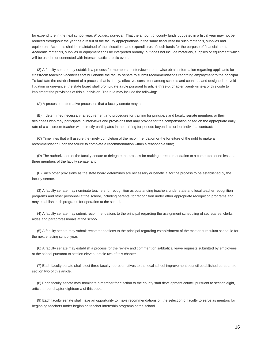for expenditure in the next school year: *Provided, however,* That the amount of county funds budgeted in a fiscal year may not be reduced throughout the year as a result of the faculty appropriations in the same fiscal year for such materials, supplies and equipment. Accounts shall be maintained of the allocations and expenditures of such funds for the purpose of financial audit. Academic materials, supplies or equipment shall be interpreted broadly, but does not include materials, supplies or equipment which will be used in or connected with interscholastic athletic events.

 (2) A faculty senate may establish a process for members to interview or otherwise obtain information regarding applicants for classroom teaching vacancies that will enable the faculty senate to submit recommendations regarding employment to the principal. To facilitate the establishment of a process that is timely, effective, consistent among schools and counties, and designed to avoid litigation or grievance, the state board shall promulgate a rule pursuant to article three-b, chapter twenty-nine-a of this code to implement the provisions of this subdivision. The rule may include the following:

(A) A process or alternative processes that a faculty senate may adopt;

 (B) If determined necessary, a requirement and procedure for training for principals and faculty senate members or their designees who may participate in interviews and provisions that may provide for the compensation based on the appropriate daily rate of a classroom teacher who directly participates in the training for periods beyond his or her individual contract;

 (C) Time lines that will assure the timely completion of the recommendation or the forfeiture of the right to make a recommendation upon the failure to complete a recommendation within a reasonable time;

 (D) The authorization of the faculty senate to delegate the process for making a recommendation to a committee of no less than three members of the faculty senate; and

 (E) Such other provisions as the state board determines are necessary or beneficial for the process to be established by the faculty senate.

 (3) A faculty senate may nominate teachers for recognition as outstanding teachers under state and local teacher recognition programs and other personnel at the school, including parents, for recognition under other appropriate recognition programs and may establish such programs for operation at the school.

 (4) A faculty senate may submit recommendations to the principal regarding the assignment scheduling of secretaries, clerks, aides and paraprofessionals at the school.

 (5) A faculty senate may submit recommendations to the principal regarding establishment of the master curriculum schedule for the next ensuing school year.

 (6) A faculty senate may establish a process for the review and comment on sabbatical leave requests submitted by employees at the school pursuant to section eleven, article two of this chapter.

 (7) Each faculty senate shall elect three faculty representatives to the local school improvement council established pursuant to section two of this article.

 (8) Each faculty senate may nominate a member for election to the county staff development council pursuant to section eight, article three, chapter eighteen-a of this code.

 (9) Each faculty senate shall have an opportunity to make recommendations on the selection of faculty to serve as mentors for beginning teachers under beginning teacher internship programs at the school.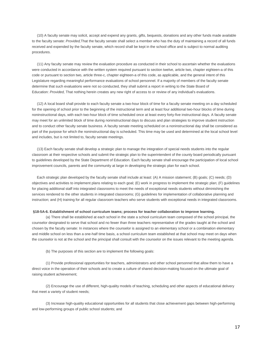(10) A faculty senate may solicit, accept and expend any grants, gifts, bequests, donations and any other funds made available to the faculty senate: *Provided,*That the faculty senate shall select a member who has the duty of maintaining a record of all funds received and expended by the faculty senate, which record shall be kept in the school office and is subject to normal auditing procedures.

 (11) Any faculty senate may review the evaluation procedure as conducted in their school to ascertain whether the evaluations were conducted in accordance with the written system required pursuant to section twelve, article two, chapter eighteen-a of this code or pursuant to section two, article three-c, chapter eighteen-a of this code, as applicable, and the general intent of this Legislature regarding meaningful performance evaluations of school personnel. If a majority of members of the faculty senate determine that such evaluations were not so conducted, they shall submit a report in writing to the State Board of Education: *Provided,* That nothing herein creates any new right of access to or review of any individual's evaluations.

 (12) A local board shall provide to each faculty senate a two-hour block of time for a faculty senate meeting on a day scheduled for the opening of school prior to the beginning of the instructional term and at least four additional two-hour blocks of time during noninstructional days, with each two-hour block of time scheduled once at least every forty-five instructional days. A faculty senate may meet for an unlimited block of time during noninstructional days to discuss and plan strategies to improve student instruction and to conduct other faculty senate business. A faculty senate meeting scheduled on a noninstructional day shall be considered as part of the purpose for which the noninstructional day is scheduled. This time may be used and determined at the local school level and includes, but is not limited to, faculty senate meetings.

 (13) Each faculty senate shall develop a strategic plan to manage the integration of special needs students into the regular classroom at their respective schools and submit the strategic plan to the superintendent of the county board periodically pursuant to guidelines developed by the State Department of Education. Each faculty senate shall encourage the participation of local school improvement councils, parents and the community at large in developing the strategic plan for each school.

 Each strategic plan developed by the faculty senate shall include at least: (A) A mission statement; (B) goals; (C) needs; (D) objectives and activities to implement plans relating to each goal; (E) work in progress to implement the strategic plan; (F) guidelines for placing additional staff into integrated classrooms to meet the needs of exceptional needs students without diminishing the services rendered to the other students in integrated classrooms; (G) guidelines for implementation of collaborative planning and instruction; and (H) training for all regular classroom teachers who serve students with exceptional needs in integrated classrooms.

#### **§18-5A-6. Establishment of school curriculum teams; process for teacher collaboration to improve learning.**

 (a) There shall be established at each school in the state a school curriculum team composed of the school principal, the counselor designated to serve that school and no fewer than three teachers representative of the grades taught at the school and chosen by the faculty senate: In instances where the counselor is assigned to an elementary school or a combination elementary and middle school on less than a one-half time basis, a school curriculum team established at that school may meet on days when the counselor is not at the school and the principal shall consult with the counselor on the issues relevant to the meeting agenda.

(b) The purposes of this section are to implement the following goals:

 (1) Provide professional opportunities for teachers, administrators and other school personnel that allow them to have a direct voice in the operation of their schools and to create a culture of shared decision-making focused on the ultimate goal of raising student achievement;

 (2) Encourage the use of different, high-quality models of teaching, scheduling and other aspects of educational delivery that meet a variety of student needs;

 (3) Increase high-quality educational opportunities for all students that close achievement gaps between high-performing and low-performing groups of public school students; and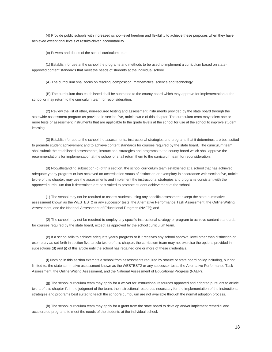(4) Provide public schools with increased school-level freedom and flexibility to achieve these purposes when they have achieved exceptional levels of results-driven accountability.

(c) Powers and duties of the school curriculum team. --

 (1) Establish for use at the school the programs and methods to be used to implement a curriculum based on stateapproved content standards that meet the needs of students at the individual school.

(A) The curriculum shall focus on reading, composition, mathematics, science and technology.

 (B) The curriculum thus established shall be submitted to the county board which may approve for implementation at the school or may return to the curriculum team for reconsideration.

 (2) Review the list of other, non-required testing and assessment instruments provided by the state board through the statewide assessment program as provided in section five, article two-e of this chapter. The curriculum team may select one or more tests or assessment instruments that are applicable to the grade levels at the school for use at the school to improve student learning.

 (3) Establish for use at the school the assessments, instructional strategies and programs that it determines are best suited to promote student achievement and to achieve content standards for courses required by the state board. The curriculum team shall submit the established assessments, instructional strategies and programs to the county board which shall approve the recommendations for implementation at the school or shall return them to the curriculum team for reconsideration.

 (d) Notwithstanding subsection (c) of this section, the school curriculum team established at a school that has achieved adequate yearly progress or has achieved an accreditation status of distinction or exemplary in accordance with section five, article two-e of this chapter, may use the assessments and implement the instructional strategies and programs consistent with the approved curriculum that it determines are best suited to promote student achievement at the school.

 (1) The school may not be required to assess students using any specific assessment except the state summative assessment known as the WESTEST2 or any successor tests, the Alternative Performance Task Assessment, the Online Writing Assessment, and the National Assessment of Educational Progress (NAEP); and

 (2) The school may not be required to employ any specific instructional strategy or program to achieve content standards for courses required by the state board, except as approved by the school curriculum team.

 (e) If a school fails to achieve adequate yearly progress or if it receives any school approval level other than distinction or exemplary as set forth in section five, article two-e of this chapter, the curriculum team may not exercise the options provided in subsections (d) and (i) of this article until the school has regained one or more of these credentials.

 (f) Nothing in this section exempts a school from assessments required by statute or state board policy including, but not limited to, the state summative assessment known as the WESTEST2 or any successor tests, the Alternative Performance Task Assessment, the Online Writing Assessment, and the National Assessment of Educational Progress (NAEP).

 (g) The school curriculum team may apply for a waiver for instructional resources approved and adopted pursuant to article two-a of this chapter if, in the judgment of the team, the instructional resources necessary for the implementation of the instructional strategies and programs best suited to teach the school's curriculum are not available through the normal adoption process.

 (h) The school curriculum team may apply for a grant from the state board to develop and/or implement remedial and accelerated programs to meet the needs of the students at the individual school.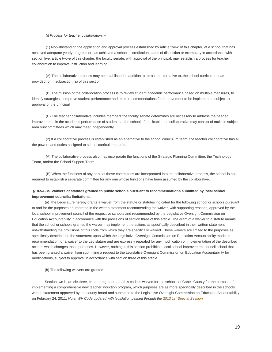(i) *Process for teacher collaboration. --*

 (1) Notwithstanding the application and approval process established by article five-c of this chapter, at a school that has achieved adequate yearly progress or has achieved a school accreditation status of distinction or exemplary in accordance with section five, article two-e of this chapter, the faculty senate, with approval of the principal, may establish a process for teacher collaboration to improve instruction and learning.

 (A) The collaborative process may be established in addition to, or as an alternative to, the school curriculum team provided for in subsection (a) of this section.

 (B) The mission of the collaboration process is to review student academic performance based on multiple measures, to identify strategies to improve student performance and make recommendations for improvement to be implemented subject to approval of the principal.

 (C) The teacher collaborative includes members the faculty senate determines are necessary to address the needed improvements in the academic performance of students at the school. If applicable, the collaborative may consist of multiple subject area subcommittees which may meet independently.

 (2) If a collaborative process is established as an alternative to the school curriculum team, the teacher collaborative has all the powers and duties assigned to school curriculum teams.

 (A) The collaborative process also may incorporate the functions of the Strategic Planning Committee, the Technology Team, and/or the School Support Team.

 (B) When the functions of any or all of these committees are incorporated into the collaborative process, the school is not required to establish a separate committee for any one whose functions have been assumed by the collaborative.

### **§18-5A-3a. Waivers of statutes granted to public schools pursuant to recommendations submitted by local school improvement councils; limitations.**

 (a) The Legislature hereby grants a waiver from the statute or statutes indicated for the following school or schools pursuant to and for the purposes enumerated in the written statement recommending the waiver, with supporting reasons, approved by the local school improvement council of the respective schools and recommended by the Legislative Oversight Commission on Education Accountability in accordance with the provisions of section three of this article. The grant of a waiver to a statute means that the school or schools granted the waiver may implement the actions as specifically described in their written statement notwithstanding the provisions of this code from which they are specifically waived. These waivers are limited to the purposes as specifically described in the statement upon which the Legislative Oversight Commission on Education Accountability made its recommendation for a waiver to the Legislature and are expressly repealed for any modification or implementation of the described actions which changes those purposes. However, nothing in this section prohibits a local school improvement council school that has been granted a waiver from submitting a request to the Legislative Oversight Commission on Education Accountability for modifications, subject to approval in accordance with section three of this article.

(b) The following waivers are granted:

 Section two-b, article three, chapter eighteen-a of this code is waived for the schools of Cabell County for the purpose of implementing a comprehensive new teacher induction program, which purposes are as more specifically described in the schools' written statement approved by the county board and submitted to the Legislative Oversight Commission on Education Accountability on February 24, 2011. *Note: WV Code updated with legislation passed through the 2013 [1st Special Session](http://www.legis.state.wv.us/Bill_Status/Bills_all_pass.cfm?year=2013&sessiontype=1x&btype=bill)*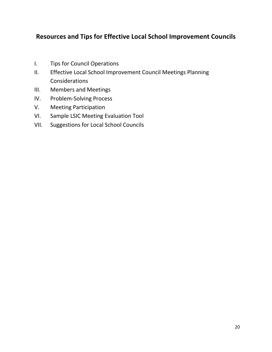# **Resources and Tips for Effective Local School Improvement Councils**

- I. Tips for Council Operations
- II. Effective Local School Improvement Council Meetings Planning Considerations
- III. Members and Meetings
- IV. Problem-Solving Process
- V. Meeting Participation
- VI. Sample LSIC Meeting Evaluation Tool
- VII. Suggestions for Local School Councils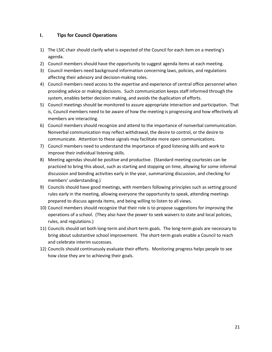# **I. Tips for Council Operations**

- 1) The LSIC chair should clarify what is expected of the Council for each item on a meeting's agenda.
- 2) Council members should have the opportunity to suggest agenda items at each meeting.
- 3) Council members need background information concerning laws, policies, and regulations affecting their advisory and decision-making roles.
- 4) Council members need access to the expertise and experience of central office personnel when providing advice or making decisions. Such communication keeps staff informed through the system, enables better decision making, and avoids the duplication of efforts.
- 5) Council meetings should be monitored to assure appropriate interaction and participation. That is, Council members need to be aware of how the meeting is progressing and how effectively all members are interacting.
- 6) Council members should recognize and attend to the importance of nonverbal communication. Nonverbal communication may reflect withdrawal, the desire to control, or the desire to communicate. Attention to these signals may facilitate more open communications.
- 7) Council members need to understand the importance of good listening skills and work to improve their individual listening skills.
- 8) Meeting agendas should be positive and productive. (Standard meeting courtesies can be practiced to bring this about, such as starting and stopping on time, allowing for some informal discussion and bonding activities early in the year, summarizing discussion, and checking for members' understanding.)
- 9) Councils should have good meetings, with members following principles such as setting ground rules early in the meeting, allowing everyone the opportunity to speak, attending meetings prepared to discuss agenda items, and being willing to listen to all views.
- 10) Council members should recognize that their role is to propose suggestions for improving the operations of a school. (They also have the power to seek waivers to state and local policies, rules, and regulations.)
- 11) Councils should set both long-term and short-term goals. The long-term goals are necessary to bring about substantive school improvement. The short-term goals enable a Council to reach and celebrate interim successes.
- 12) Councils should continuously evaluate their efforts. Monitoring progress helps people to see how close they are to achieving their goals.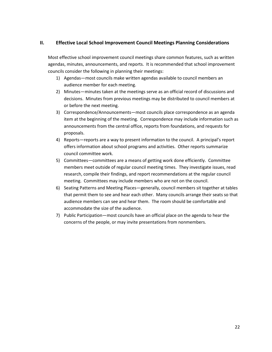# **II. Effective Local School Improvement Council Meetings Planning Considerations**

Most effective school improvement council meetings share common features, such as written agendas, minutes, announcements, and reports. It is recommended that school improvement councils consider the following in planning their meetings:

- 1) Agendas—most councils make written agendas available to council members an audience member for each meeting.
- 2) Minutes—minutes taken at the meetings serve as an official record of discussions and decisions. Minutes from previous meetings may be distributed to council members at or before the next meeting.
- 3) Correspondence/Announcements—most councils place correspondence as an agenda item at the beginning of the meeting. Correspondence may include information such as announcements from the central office, reports from foundations, and requests for proposals.
- 4) Reports—reports are a way to present information to the council. A principal's report offers information about school programs and activities. Other reports summarize council committee work.
- 5) Committees—committees are a means of getting work done efficiently. Committee members meet outside of regular council meeting times. They investigate issues, read research, compile their findings, and report recommendations at the regular council meeting. Committees may include members who are not on the council.
- 6) Seating Patterns and Meeting Places—generally, council members sit together at tables that permit them to see and hear each other. Many councils arrange their seats so that audience members can see and hear them. The room should be comfortable and accommodate the size of the audience.
- 7) Public Participation—most councils have an official place on the agenda to hear the concerns of the people, or may invite presentations from nonmembers.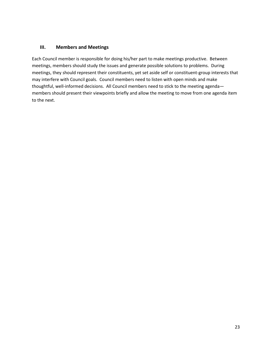# **III. Members and Meetings**

Each Council member is responsible for doing his/her part to make meetings productive. Between meetings, members should study the issues and generate possible solutions to problems. During meetings, they should represent their constituents, yet set aside self or constituent-group interests that may interfere with Council goals. Council members need to listen with open minds and make thoughtful, well-informed decisions. All Council members need to stick to the meeting agenda members should present their viewpoints briefly and allow the meeting to move from one agenda item to the next.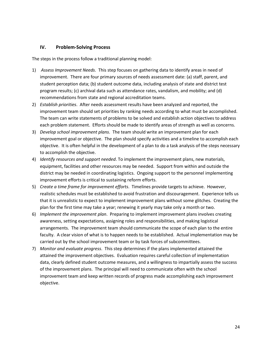# **IV. Problem-Solving Process**

The steps in the process follow a traditional planning model:

- 1) *Assess Improvement Needs*. This step focuses on gathering data to identify areas in need of improvement. There are four primary sources of needs assessment date: (a) staff, parent, and student perception data; (b) student outcome data, including analysis of state and district test program results; (c) archival data such as attendance rates, vandalism, and mobility; and (d) recommendations from state and regional accreditation teams.
- 2) *Establish priorities*. After needs assessment results have been analyzed and reported, the improvement team should set priorities by ranking needs according to what must be accomplished. The team can write statements of problems to be solved and establish action objectives to address each problem statement. Efforts should be made to identify areas of strength as well as concerns.
- 3) *Develop school improvement plans*. The team should write an improvement plan for each improvement goal or objective. The plan should specify activities and a timeline to accomplish each objective. It is often helpful in the development of a plan to do a task analysis of the steps necessary to accomplish the objective.
- 4) *Identify resources and support needed*. To implement the improvement plans, new materials, equipment, facilities and other resources may be needed. Support from within and outside the district may be needed in coordinating logistics. Ongoing support to the personnel implementing improvement efforts is critical to sustaining reform efforts.
- 5) *Create a time frame for improvement efforts*. Timelines provide targets to achieve. However, realistic schedules must be established to avoid frustration and discouragement. Experience tells us that it is unrealistic to expect to implement improvement plans without some glitches. Creating the plan for the first time may take a year; renewing it yearly may take only a month or two.
- 6) *Implement the improvement plan*. Preparing to implement improvement plans involves creating awareness, setting expectations, assigning roles and responsibilities, and making logistical arrangements. The improvement team should communicate the scope of each plan to the entire faculty. A clear vision of what is to happen needs to be established. Actual implementation may be carried out by the school improvement team or by task forces of subcommittees.
- 7) *Monitor and evaluate progress*. This step determines if the plans implemented attained the attained the improvement objectives. Evaluation requires careful collection of implementation data, clearly defined student outcome measures, and a willingness to impartially assess the success of the improvement plans. The principal will need to communicate often with the school improvement team and keep written records of progress made accomplishing each improvement objective.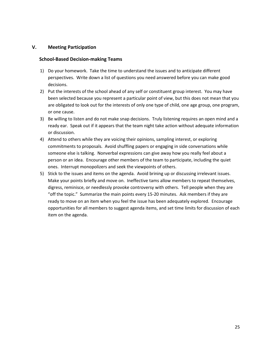# **V. Meeting Participation**

### **School-Based Decision-making Teams**

- 1) Do your homework. Take the time to understand the issues and to anticipate different perspectives. Write down a list of questions you need answered before you can make good decisions.
- 2) Put the interests of the school ahead of any self or constituent group interest. You may have been selected because you represent a particular point of view, but this does not mean that you are obligated to look out for the interests of only one type of child, one age group, one program, or one cause.
- 3) Be willing to listen and do not make snap decisions. Truly listening requires an open mind and a ready ear. Speak out if it appears that the team night take action without adequate information or discussion.
- 4) Attend to others while they are voicing their opinions, sampling interest, or exploring commitments to proposals. Avoid shuffling papers or engaging in side conversations while someone else is talking. Nonverbal expressions can give away how you really feel about a person or an idea. Encourage other members of the team to participate, including the quiet ones. Interrupt monopolizers and seek the viewpoints of others.
- 5) Stick to the issues and items on the agenda. Avoid brining up or discussing irrelevant issues. Make your points briefly and move on. Ineffective tams allow members to repeat themselves, digress, reminisce, or needlessly provoke controversy with others. Tell people when they are "off the topic." Summarize the main points every 15-20 minutes. Ask members if they are ready to move on an item when you feel the issue has been adequately explored. Encourage opportunities for all members to suggest agenda items, and set time limits for discussion of each item on the agenda.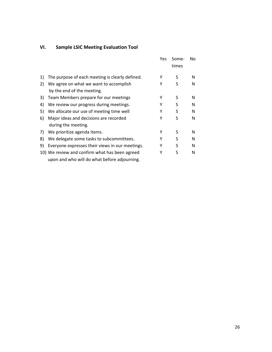# **VI. Sample LSIC Meeting Evaluation Tool**

|    |                                                                                                | Yes | Some-<br>times | No |
|----|------------------------------------------------------------------------------------------------|-----|----------------|----|
| 1) | The purpose of each meeting is clearly defined.                                                | Υ   | S              | N  |
| 2) | We agree on what we want to accomplish<br>by the end of the meeting.                           | Υ   | S              | N  |
| 3) | Team Members prepare for our meetings                                                          | Υ   | S              | N  |
| 4) | We review our progress during meetings.                                                        | Υ   | S              | N  |
| 5) | We allocate our use of meeting time well                                                       | Υ   | S              | N  |
| 6) | Major ideas and decisions are recorded<br>during the meeting.                                  | Υ   | S              | N  |
| 7) | We prioritize agenda items.                                                                    | Υ   | S              | N  |
| 8) | We delegate some tasks to subcommittees.                                                       | Υ   | S              | N  |
| 9) | Everyone expresses their views in our meetings.                                                | Υ   | S              | N  |
|    | 10) We review and confirm what has been agreed<br>upon and who will do what before adjourning. | Υ   | S              | N  |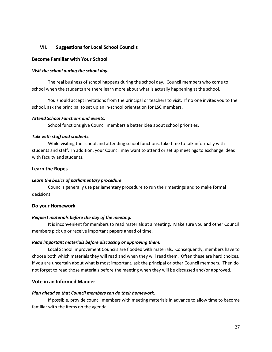# **VII. Suggestions for Local School Councils**

### **Become Familiar with Your School**

### *Visit the school during the school day.*

The real business of school happens during the school day. Council members who come to school when the students are there learn more about what is actually happening at the school.

You should accept invitations from the principal or teachers to visit. If no one invites you to the school, ask the principal to set up an in-school orientation for LSC members.

### *Attend School Functions and events.*

School functions give Council members a better idea about school priorities.

### *Talk with staff and students.*

While visiting the school and attending school functions, take time to talk informally with students and staff. In addition, your Council may want to attend or set up meetings to exchange ideas with faculty and students.

### **Learn the Ropes**

# *Learn the basics of parliamentary procedure*

Councils generally use parliamentary procedure to run their meetings and to make formal decisions.

### **Do your Homework**

### *Request materials before the day of the meeting.*

It is inconvenient for members to read materials at a meeting. Make sure you and other Council members pick up or receive important papers ahead of time.

### *Read important materials before discussing or approving them.*

Local School Improvement Councils are flooded with materials. Consequently, members have to choose both which materials they will read and when they will read them. Often these are hard choices. If you are uncertain about what is most important, ask the principal or other Council members. Then do not forget to read those materials before the meeting when they will be discussed and/or approved.

# **Vote in an Informed Manner**

# *Plan ahead so that Council members can do their homework.*

If possible, provide council members with meeting materials in advance to allow time to become familiar with the items on the agenda.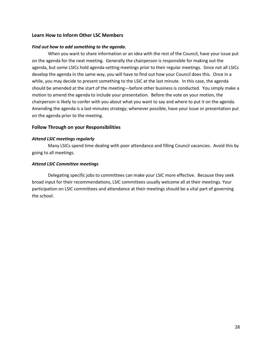# **Learn How to Inform Other LSC Members**

### *Find out how to add something to the agenda.*

When you want to share information or an idea with the rest of the Council, have your issue put on the agenda for the next meeting. Generally the chairperson is responsible for making out the agenda, but some LSICs hold agenda-setting meetings prior to their regular meetings. Since not all LSICs develop the agenda in the same way, you will have to find out how your Council does this. Once in a while, you may decide to present something to the LSIC at the last minute. In this case, the agenda should be amended at the start of the meeting—before other business is conducted. You simply make a motion to amend the agenda to include your presentation. Before the vote on your motion, the chairperson is likely to confer with you about what you want to say and where to put it on the agenda. Amending the agenda is a last-minutes strategy; whenever possible, have your issue or presentation put on the agenda prior to the meeting.

# **Follow Through on your Responsibilities**

### *Attend LSIC meetings regularly*

Many LSICs spend time dealing with poor attendance and filling Council vacancies. Avoid this by going to all meetings.

### *Attend LSIC Committee meetings*

Delegating specific jobs to committees can make your LSIC more effective. Because they seek broad input for their recommendations, LSIC committees usually welcome all at their meetings. Your participation on LSIC committees and attendance at their meetings should be a vital part of governing the school.